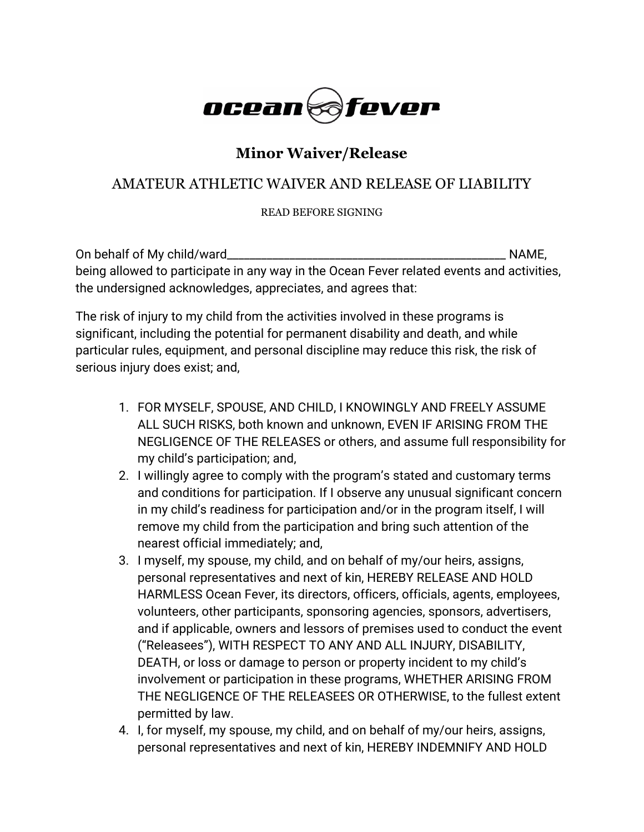

## **Minor Waiver/Release**

## AMATEUR ATHLETIC WAIVER AND RELEASE OF LIABILITY

READ BEFORE SIGNING

| On behalf of My child/ward_                                                               | NAME. |
|-------------------------------------------------------------------------------------------|-------|
| being allowed to participate in any way in the Ocean Fever related events and activities, |       |
| the undersigned acknowledges, appreciates, and agrees that:                               |       |

The risk of injury to my child from the activities involved in these programs is significant, including the potential for permanent disability and death, and while particular rules, equipment, and personal discipline may reduce this risk, the risk of serious injury does exist; and,

- 1. FOR MYSELF, SPOUSE, AND CHILD, I KNOWINGLY AND FREELY ASSUME ALL SUCH RISKS, both known and unknown, EVEN IF ARISING FROM THE NEGLIGENCE OF THE RELEASES or others, and assume full responsibility for my child's participation; and,
- 2. I willingly agree to comply with the program's stated and customary terms and conditions for participation. If I observe any unusual significant concern in my child's readiness for participation and/or in the program itself, I will remove my child from the participation and bring such attention of the nearest official immediately; and,
- 3. I myself, my spouse, my child, and on behalf of my/our heirs, assigns, personal representatives and next of kin, HEREBY RELEASE AND HOLD HARMLESS Ocean Fever, its directors, officers, officials, agents, employees, volunteers, other participants, sponsoring agencies, sponsors, advertisers, and if applicable, owners and lessors of premises used to conduct the event ("Releasees"), WITH RESPECT TO ANY AND ALL INJURY, DISABILITY, DEATH, or loss or damage to person or property incident to my child's involvement or participation in these programs, WHETHER ARISING FROM THE NEGLIGENCE OF THE RELEASEES OR OTHERWISE, to the fullest extent permitted by law.
- 4. I, for myself, my spouse, my child, and on behalf of my/our heirs, assigns, personal representatives and next of kin, HEREBY INDEMNIFY AND HOLD